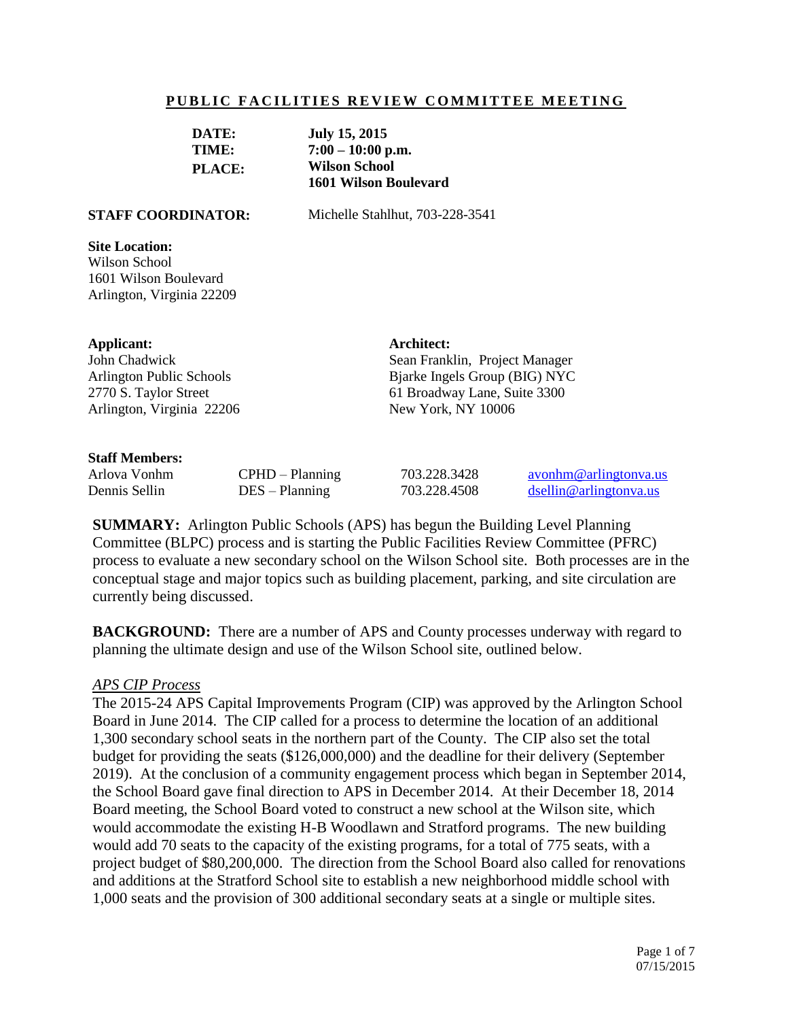#### **PUBLIC FACILITIES REVIEW COMMITTEE MEETING**

| DATE:         | <b>July 15, 2015</b>         |
|---------------|------------------------------|
| TIME:         | $7:00 - 10:00$ p.m.          |
| <b>PLACE:</b> | <b>Wilson School</b>         |
|               | <b>1601 Wilson Boulevard</b> |

**STAFF COORDINATOR:** Michelle Stahlhut, 703-228-3541

**Architect:**

Sean Franklin, Project Manager Bjarke Ingels Group (BIG) NYC 61 Broadway Lane, Suite 3300

#### **Site Location:**

Wilson School 1601 Wilson Boulevard Arlington, Virginia 22209

#### **Applicant:**

John Chadwick Arlington Public Schools 2770 S. Taylor Street Arlington, Virginia 22206

#### **Staff Members:**

Arlova Vonhm CPHD – Planning 703.228.3428 [avonhm@arlingtonva.us](mailto:avonhm@arlingtonva.us) Dennis Sellin DES – Planning 703.228.4508 [dsellin@arlingtonva.us](mailto:dsellin@arlingtonva.us)

New York, NY 10006

**SUMMARY:** Arlington Public Schools (APS) has begun the Building Level Planning Committee (BLPC) process and is starting the Public Facilities Review Committee (PFRC) process to evaluate a new secondary school on the Wilson School site. Both processes are in the conceptual stage and major topics such as building placement, parking, and site circulation are currently being discussed.

**BACKGROUND:** There are a number of APS and County processes underway with regard to planning the ultimate design and use of the Wilson School site, outlined below.

#### *APS CIP Process*

The 2015-24 APS Capital Improvements Program (CIP) was approved by the Arlington School Board in June 2014. The CIP called for a process to determine the location of an additional 1,300 secondary school seats in the northern part of the County. The CIP also set the total budget for providing the seats (\$126,000,000) and the deadline for their delivery (September 2019). At the conclusion of a community engagement process which began in September 2014, the School Board gave final direction to APS in December 2014. At their December 18, 2014 Board meeting, the School Board voted to construct a new school at the Wilson site, which would accommodate the existing H-B Woodlawn and Stratford programs. The new building would add 70 seats to the capacity of the existing programs, for a total of 775 seats, with a project budget of \$80,200,000. The direction from the School Board also called for renovations and additions at the Stratford School site to establish a new neighborhood middle school with 1,000 seats and the provision of 300 additional secondary seats at a single or multiple sites.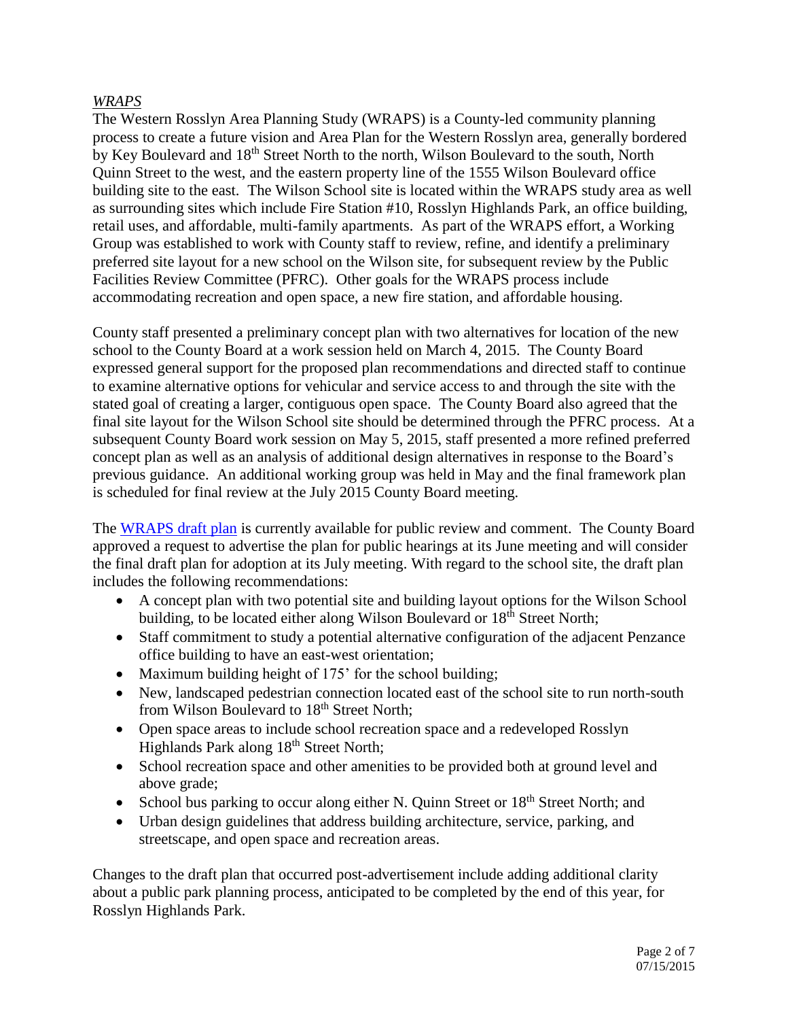# *WRAPS*

The Western Rosslyn Area Planning Study (WRAPS) is a County-led community planning process to create a future vision and Area Plan for the Western Rosslyn area, generally bordered by Key Boulevard and 18<sup>th</sup> Street North to the north, Wilson Boulevard to the south, North Quinn Street to the west, and the eastern property line of the 1555 Wilson Boulevard office building site to the east. The Wilson School site is located within the WRAPS study area as well as surrounding sites which include Fire Station #10, Rosslyn Highlands Park, an office building, retail uses, and affordable, multi-family apartments. As part of the WRAPS effort, a Working Group was established to work with County staff to review, refine, and identify a preliminary preferred site layout for a new school on the Wilson site, for subsequent review by the Public Facilities Review Committee (PFRC). Other goals for the WRAPS process include accommodating recreation and open space, a new fire station, and affordable housing.

County staff presented a preliminary concept plan with two alternatives for location of the new school to the County Board at a work session held on March 4, 2015. The County Board expressed general support for the proposed plan recommendations and directed staff to continue to examine alternative options for vehicular and service access to and through the site with the stated goal of creating a larger, contiguous open space. The County Board also agreed that the final site layout for the Wilson School site should be determined through the PFRC process. At a subsequent County Board work session on May 5, 2015, staff presented a more refined preferred concept plan as well as an analysis of additional design alternatives in response to the Board's previous guidance. An additional working group was held in May and the final framework plan is scheduled for final review at the July 2015 County Board meeting.

The [WRAPS draft plan](http://arlingtonva.s3.amazonaws.com/wp-content/uploads/sites/31/2015/05/150522_WesternRosslynAreaPlan_v2.pdf) is currently available for public review and comment. The County Board approved a request to advertise the plan for public hearings at its June meeting and will consider the final draft plan for adoption at its July meeting. With regard to the school site, the draft plan includes the following recommendations:

- A concept plan with two potential site and building layout options for the Wilson School building, to be located either along Wilson Boulevard or  $18<sup>th</sup>$  Street North;
- Staff commitment to study a potential alternative configuration of the adjacent Penzance office building to have an east-west orientation;
- Maximum building height of 175' for the school building;
- New, landscaped pedestrian connection located east of the school site to run north-south from Wilson Boulevard to 18<sup>th</sup> Street North;
- Open space areas to include school recreation space and a redeveloped Rosslyn Highlands Park along 18<sup>th</sup> Street North;
- School recreation space and other amenities to be provided both at ground level and above grade;
- School bus parking to occur along either N. Quinn Street or  $18<sup>th</sup>$  Street North; and
- Urban design guidelines that address building architecture, service, parking, and streetscape, and open space and recreation areas.

Changes to the draft plan that occurred post-advertisement include adding additional clarity about a public park planning process, anticipated to be completed by the end of this year, for Rosslyn Highlands Park.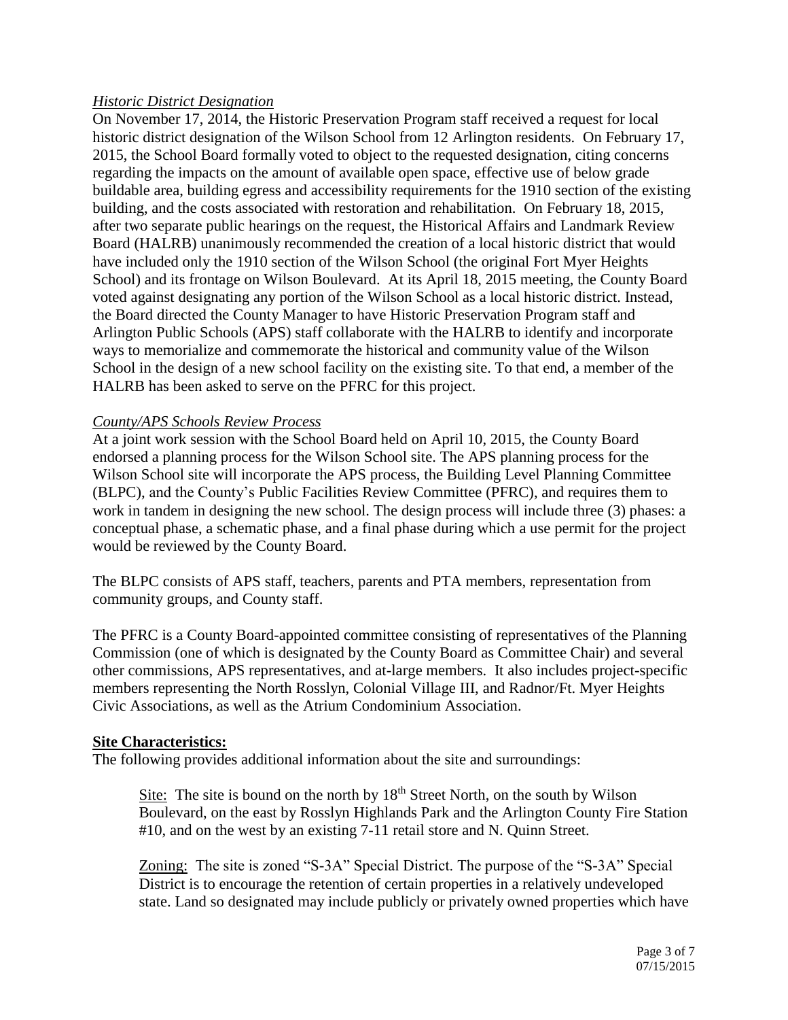# *Historic District Designation*

On November 17, 2014, the Historic Preservation Program staff received a request for local historic district designation of the Wilson School from 12 Arlington residents. On February 17, 2015, the School Board formally voted to object to the requested designation, citing concerns regarding the impacts on the amount of available open space, effective use of below grade buildable area, building egress and accessibility requirements for the 1910 section of the existing building, and the costs associated with restoration and rehabilitation. On February 18, 2015, after two separate public hearings on the request, the Historical Affairs and Landmark Review Board (HALRB) unanimously recommended the creation of a local historic district that would have included only the 1910 section of the Wilson School (the original Fort Myer Heights School) and its frontage on Wilson Boulevard. At its April 18, 2015 meeting, the County Board voted against designating any portion of the Wilson School as a local historic district. Instead, the Board directed the County Manager to have Historic Preservation Program staff and Arlington Public Schools (APS) staff collaborate with the HALRB to identify and incorporate ways to memorialize and commemorate the historical and community value of the Wilson School in the design of a new school facility on the existing site. To that end, a member of the HALRB has been asked to serve on the PFRC for this project.

# *County/APS Schools Review Process*

At a joint work session with the School Board held on April 10, 2015, the County Board endorsed a planning process for the Wilson School site. The APS planning process for the Wilson School site will incorporate the APS process, the Building Level Planning Committee (BLPC), and the County's Public Facilities Review Committee (PFRC), and requires them to work in tandem in designing the new school. The design process will include three (3) phases: a conceptual phase, a schematic phase, and a final phase during which a use permit for the project would be reviewed by the County Board.

The BLPC consists of APS staff, teachers, parents and PTA members, representation from community groups, and County staff.

The PFRC is a County Board-appointed committee consisting of representatives of the Planning Commission (one of which is designated by the County Board as Committee Chair) and several other commissions, APS representatives, and at-large members. It also includes project-specific members representing the North Rosslyn, Colonial Village III, and Radnor/Ft. Myer Heights Civic Associations, as well as the Atrium Condominium Association.

#### **Site Characteristics:**

The following provides additional information about the site and surroundings:

Site: The site is bound on the north by  $18<sup>th</sup>$  Street North, on the south by Wilson Boulevard, on the east by Rosslyn Highlands Park and the Arlington County Fire Station #10, and on the west by an existing 7-11 retail store and N. Quinn Street.

Zoning: The site is zoned "S-3A" Special District. The purpose of the "S-3A" Special District is to encourage the retention of certain properties in a relatively undeveloped state. Land so designated may include publicly or privately owned properties which have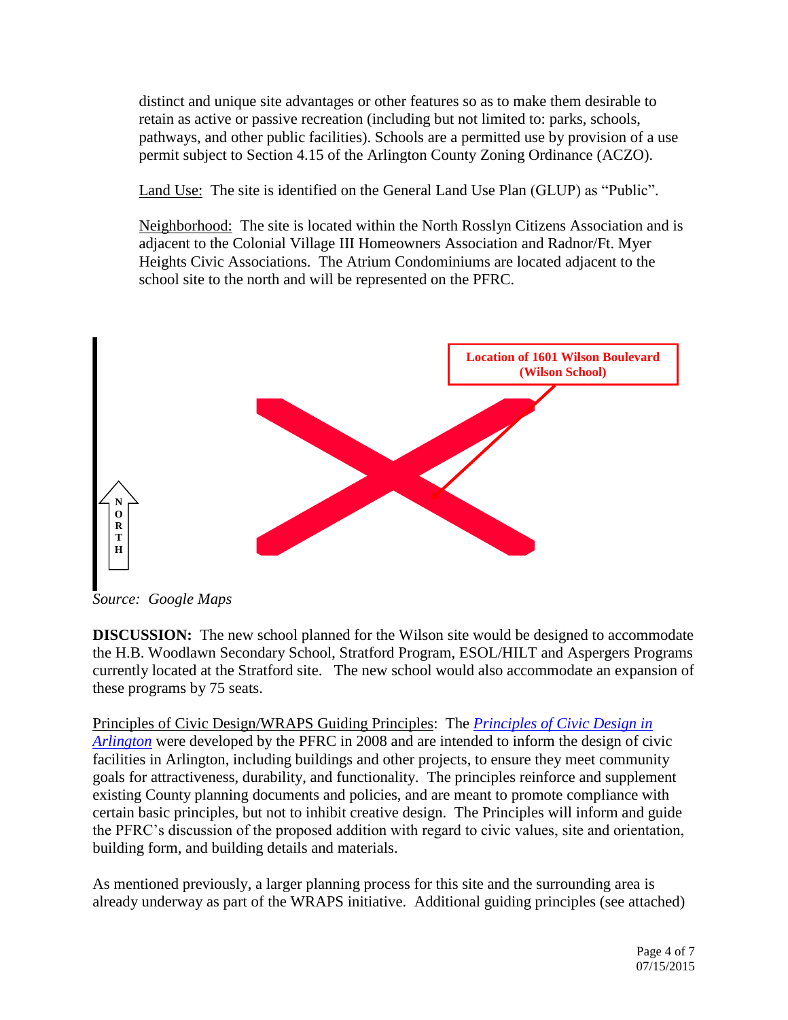distinct and unique site advantages or other features so as to make them desirable to retain as active or passive recreation (including but not limited to: parks, schools, pathways, and other public facilities). Schools are a permitted use by provision of a use permit subject to Section 4.15 of the Arlington County Zoning Ordinance (ACZO).

Land Use: The site is identified on the General Land Use Plan (GLUP) as "Public".

Neighborhood: The site is located within the North Rosslyn Citizens Association and is adjacent to the Colonial Village III Homeowners Association and Radnor/Ft. Myer Heights Civic Associations. The Atrium Condominiums are located adjacent to the school site to the north and will be represented on the PFRC.



*Source: Google Maps*

**DISCUSSION:** The new school planned for the Wilson site would be designed to accommodate the H.B. Woodlawn Secondary School, Stratford Program, ESOL/HILT and Aspergers Programs currently located at the Stratford site. The new school would also accommodate an expansion of these programs by 75 seats.

Principles of Civic Design/WRAPS Guiding Principles: The *[Principles of Civic Design in](http://commissions.arlingtonva.us/planning-commission/public-facilities-review-committee-pfrc/pfrc-principles-civic-design/)  [Arlington](http://commissions.arlingtonva.us/planning-commission/public-facilities-review-committee-pfrc/pfrc-principles-civic-design/)* were developed by the PFRC in 2008 and are intended to inform the design of civic facilities in Arlington, including buildings and other projects, to ensure they meet community goals for attractiveness, durability, and functionality. The principles reinforce and supplement existing County planning documents and policies, and are meant to promote compliance with certain basic principles, but not to inhibit creative design. The Principles will inform and guide the PFRC's discussion of the proposed addition with regard to civic values, site and orientation, building form, and building details and materials.

As mentioned previously, a larger planning process for this site and the surrounding area is already underway as part of the WRAPS initiative. Additional guiding principles (see attached)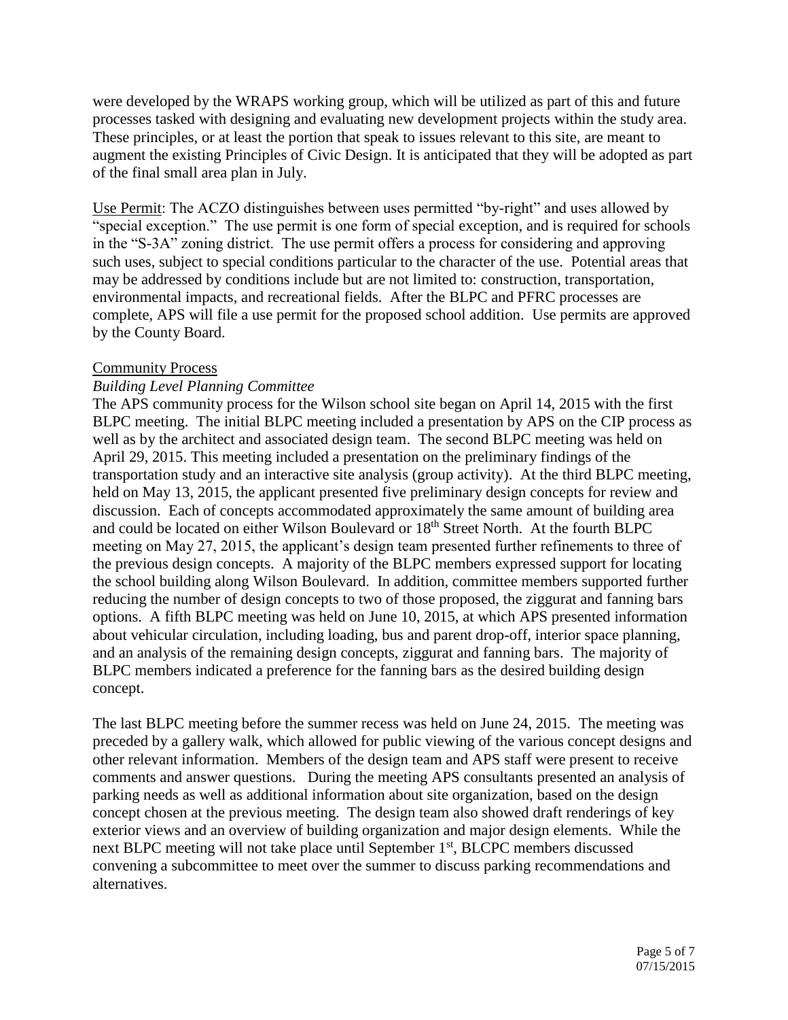were developed by the WRAPS working group, which will be utilized as part of this and future processes tasked with designing and evaluating new development projects within the study area. These principles, or at least the portion that speak to issues relevant to this site, are meant to augment the existing Principles of Civic Design. It is anticipated that they will be adopted as part of the final small area plan in July.

Use Permit: The ACZO distinguishes between uses permitted "by-right" and uses allowed by "special exception." The use permit is one form of special exception, and is required for schools in the "S-3A" zoning district. The use permit offers a process for considering and approving such uses, subject to special conditions particular to the character of the use. Potential areas that may be addressed by conditions include but are not limited to: construction, transportation, environmental impacts, and recreational fields. After the BLPC and PFRC processes are complete, APS will file a use permit for the proposed school addition. Use permits are approved by the County Board.

#### Community Process

# *Building Level Planning Committee*

The APS community process for the Wilson school site began on April 14, 2015 with the first BLPC meeting. The initial BLPC meeting included a presentation by APS on the CIP process as well as by the architect and associated design team. The second BLPC meeting was held on April 29, 2015. This meeting included a presentation on the preliminary findings of the transportation study and an interactive site analysis (group activity). At the third BLPC meeting, held on May 13, 2015, the applicant presented five preliminary design concepts for review and discussion. Each of concepts accommodated approximately the same amount of building area and could be located on either Wilson Boulevard or 18<sup>th</sup> Street North. At the fourth BLPC meeting on May 27, 2015, the applicant's design team presented further refinements to three of the previous design concepts. A majority of the BLPC members expressed support for locating the school building along Wilson Boulevard. In addition, committee members supported further reducing the number of design concepts to two of those proposed, the ziggurat and fanning bars options. A fifth BLPC meeting was held on June 10, 2015, at which APS presented information about vehicular circulation, including loading, bus and parent drop-off, interior space planning, and an analysis of the remaining design concepts, ziggurat and fanning bars. The majority of BLPC members indicated a preference for the fanning bars as the desired building design concept.

The last BLPC meeting before the summer recess was held on June 24, 2015. The meeting was preceded by a gallery walk, which allowed for public viewing of the various concept designs and other relevant information. Members of the design team and APS staff were present to receive comments and answer questions. During the meeting APS consultants presented an analysis of parking needs as well as additional information about site organization, based on the design concept chosen at the previous meeting. The design team also showed draft renderings of key exterior views and an overview of building organization and major design elements. While the next BLPC meeting will not take place until September 1<sup>st</sup>, BLCPC members discussed convening a subcommittee to meet over the summer to discuss parking recommendations and alternatives.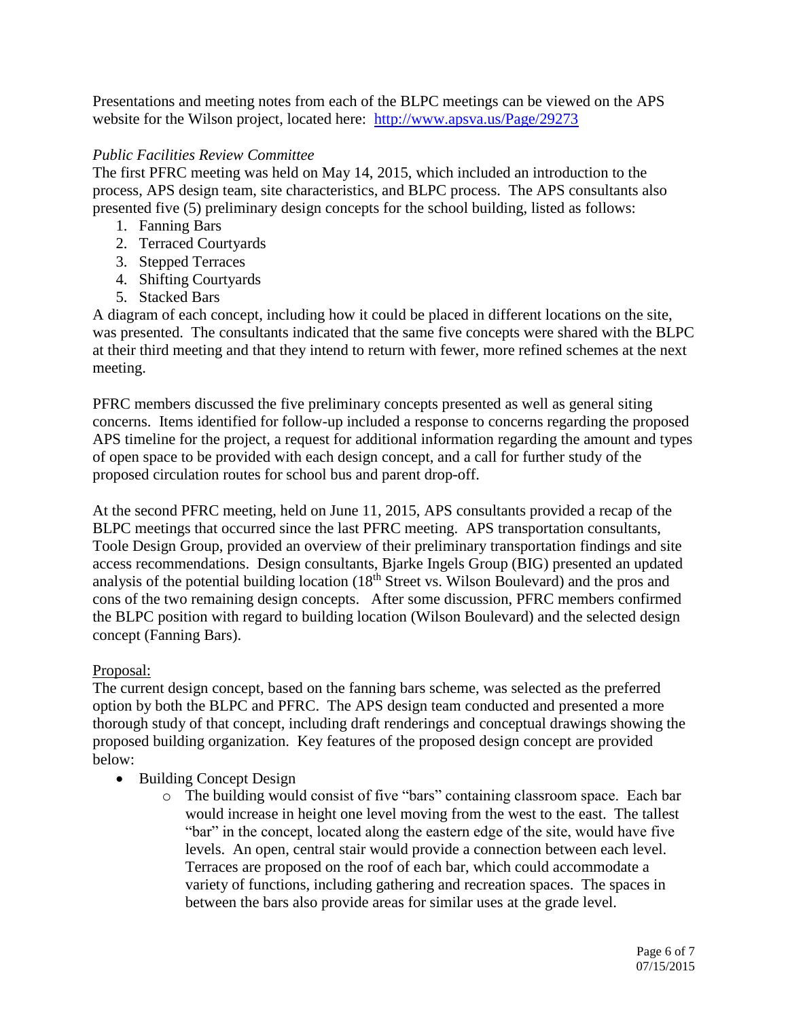Presentations and meeting notes from each of the BLPC meetings can be viewed on the APS website for the Wilson project, located here: <http://www.apsva.us/Page/29273>

# *Public Facilities Review Committee*

The first PFRC meeting was held on May 14, 2015, which included an introduction to the process, APS design team, site characteristics, and BLPC process. The APS consultants also presented five (5) preliminary design concepts for the school building, listed as follows:

- 1. Fanning Bars
- 2. Terraced Courtyards
- 3. Stepped Terraces
- 4. Shifting Courtyards
- 5. Stacked Bars

A diagram of each concept, including how it could be placed in different locations on the site, was presented. The consultants indicated that the same five concepts were shared with the BLPC at their third meeting and that they intend to return with fewer, more refined schemes at the next meeting.

PFRC members discussed the five preliminary concepts presented as well as general siting concerns. Items identified for follow-up included a response to concerns regarding the proposed APS timeline for the project, a request for additional information regarding the amount and types of open space to be provided with each design concept, and a call for further study of the proposed circulation routes for school bus and parent drop-off.

At the second PFRC meeting, held on June 11, 2015, APS consultants provided a recap of the BLPC meetings that occurred since the last PFRC meeting. APS transportation consultants, Toole Design Group, provided an overview of their preliminary transportation findings and site access recommendations. Design consultants, Bjarke Ingels Group (BIG) presented an updated analysis of the potential building location (18<sup>th</sup> Street vs. Wilson Boulevard) and the pros and cons of the two remaining design concepts. After some discussion, PFRC members confirmed the BLPC position with regard to building location (Wilson Boulevard) and the selected design concept (Fanning Bars).

# Proposal:

The current design concept, based on the fanning bars scheme, was selected as the preferred option by both the BLPC and PFRC. The APS design team conducted and presented a more thorough study of that concept, including draft renderings and conceptual drawings showing the proposed building organization. Key features of the proposed design concept are provided below:

- Building Concept Design
	- o The building would consist of five "bars" containing classroom space. Each bar would increase in height one level moving from the west to the east. The tallest "bar" in the concept, located along the eastern edge of the site, would have five levels. An open, central stair would provide a connection between each level. Terraces are proposed on the roof of each bar, which could accommodate a variety of functions, including gathering and recreation spaces. The spaces in between the bars also provide areas for similar uses at the grade level.